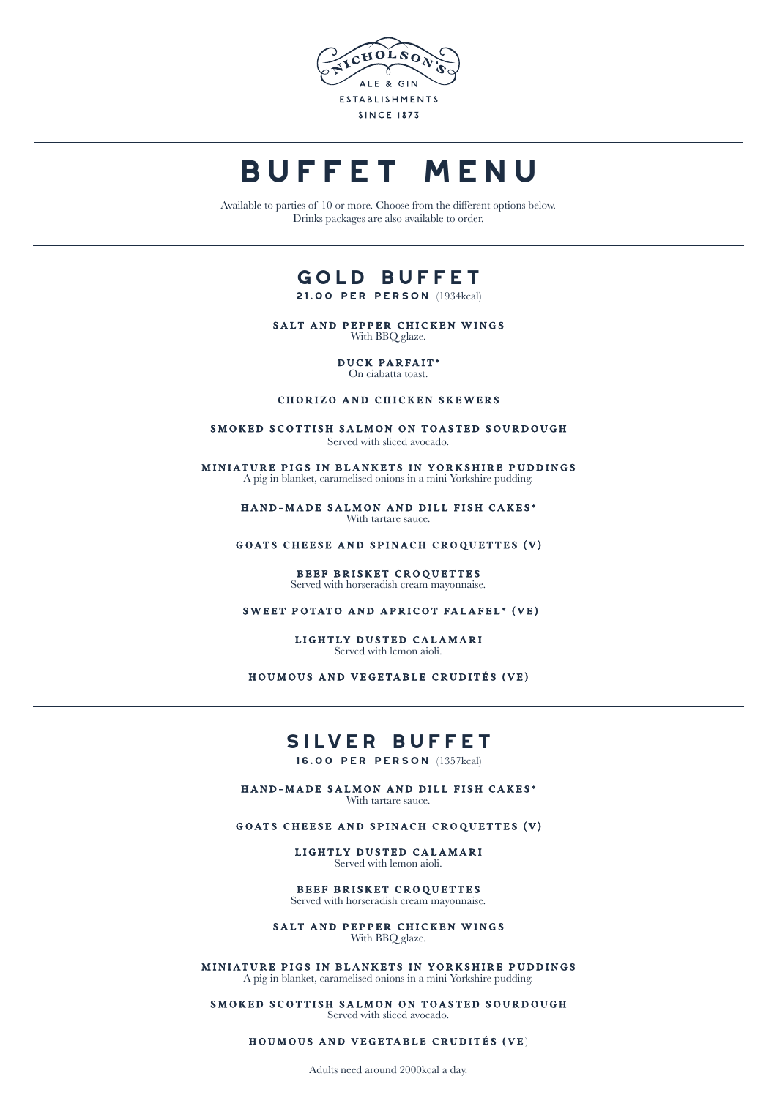

# **BUFFET MENU**

Available to parties of 10 or more. Choose from the different options below. Drinks packages are also available to order.

# **gold Buffet**

**21.00 per person** (1934kcal)

SALT AND PEPPER CHICKEN WINGS With BBQ glaze.

> DUCK PARFAIT\* On ciabatta toast.

#### CHORIZO AND CHICKEN SKEWERS

SMOKED SCOTTISH SALMON ON TOASTED SOURDOUGH Served with sliced avocado.

MINIATURE PIGS IN BLANKETS IN YORKSHIRE PUDDINGS A pig in blanket, caramelised onions in a mini Yorkshire pudding.

> HAND-MADE SALMON AND DILL FISH CAKES\* With tartare sauce.

GOATS CHEESE AND SPINACH CROQUETTES (V)

#### BEEF BRISKET CROQUETTES Served with horseradish cream mayonnaise.

SWEET POTATO AND APRICOT FALAFEL\* (VE)

LIGHTLY DUSTED CALAMARI Served with lemon aioli.

HOUMOUS AND VEGETABLE CRUDITÉS (VE)

# **silver Buffet**

**16.00 per person** (1357kcal)

HAND-MADE SALMON AND DILL FISH CAKES\* With tartare sauce.

GOATS CHEESE AND SPINACH CROQUETTES (V)

LIGHTLY DUSTED CALAMARI Served with lemon aioli.

BEEF BRISKET CROQUETTES Served with horseradish cream mayonnaise.

SALT AND PEPPER CHICKEN WINGS With BBQ glaze.

MINIATURE PIGS IN BLANKETS IN YORKSHIRE PUDDINGS A pig in blanket, caramelised onions in a mini Yorkshire pudding.

SMOKED SCOTTISH SALMON ON TOASTED SOURDOUGH Served with sliced avocado.

HOUMOUS AND VEGETABLE CRUDITÉS (VE)

Adults need around 2000kcal a day.